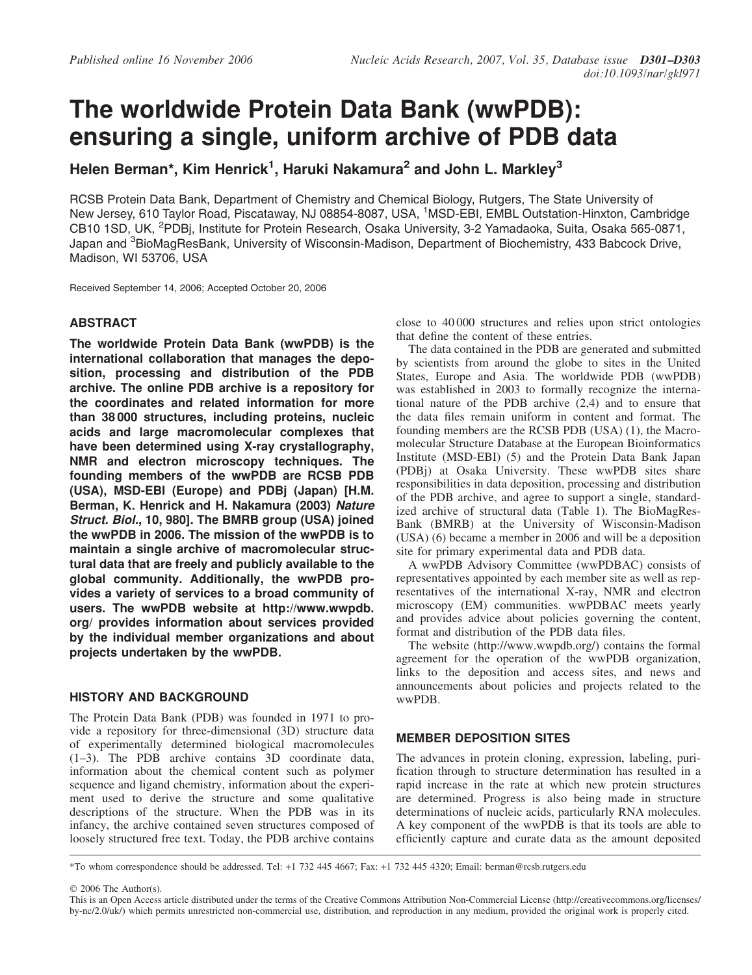# The worldwide Protein Data Bank (wwPDB): ensuring a single, uniform archive of PDB data

Helen Berman\*, Kim Henrick<sup>1</sup>, Haruki Nakamura<sup>2</sup> and John L. Markley<sup>3</sup>

RCSB Protein Data Bank, Department of Chemistry and Chemical Biology, Rutgers, The State University of New Jersey, 610 Taylor Road, Piscataway, NJ 08854-8087, USA, <sup>1</sup>MSD-EBI, EMBL Outstation-Hinxton, Cambridge CB10 1SD, UK, <sup>2</sup>PDBj, Institute for Protein Research, Osaka University, 3-2 Yamadaoka, Suita, Osaka 565-0871, Japan and <sup>3</sup>BioMagResBank, University of Wisconsin-Madison, Department of Biochemistry, 433 Babcock Drive, Madison, WI 53706, USA

Received September 14, 2006; Accepted October 20, 2006

## ABSTRACT

The worldwide Protein Data Bank (wwPDB) is the international collaboration that manages the deposition, processing and distribution of the PDB archive. The online PDB archive is a repository for the coordinates and related information for more than 38 000 structures, including proteins, nucleic acids and large macromolecular complexes that have been determined using X-ray crystallography, NMR and electron microscopy techniques. The founding members of the wwPDB are RCSB PDB (USA), MSD-EBI (Europe) and PDBj (Japan) [H.M. Berman, K. Henrick and H. Nakamura (2003) Nature Struct. Biol., 10, 980]. The BMRB group (USA) joined the wwPDB in 2006. The mission of the wwPDB is to maintain a single archive of macromolecular structural data that are freely and publicly available to the global community. Additionally, the wwPDB provides a variety of services to a broad community of users. The wwPDB website at [http://www.wwpdb.](http://www.wwpdb) org/ provides information about services provided by the individual member organizations and about projects undertaken by the wwPDB.

# HISTORY AND BACKGROUND

The Protein Data Bank (PDB) was founded in 1971 to provide a repository for three-dimensional (3D) structure data of experimentally determined biological macromolecules (1–3). The PDB archive contains 3D coordinate data, information about the chemical content such as polymer sequence and ligand chemistry, information about the experiment used to derive the structure and some qualitative descriptions of the structure. When the PDB was in its infancy, the archive contained seven structures composed of loosely structured free text. Today, the PDB archive contains close to 40 000 structures and relies upon strict ontologies that define the content of these entries.

The data contained in the PDB are generated and submitted by scientists from around the globe to sites in the United States, Europe and Asia. The worldwide PDB (wwPDB) was established in 2003 to formally recognize the international nature of the PDB archive (2,4) and to ensure that the data files remain uniform in content and format. The founding members are the RCSB PDB (USA) (1), the Macromolecular Structure Database at the European Bioinformatics Institute (MSD-EBI) (5) and the Protein Data Bank Japan (PDBj) at Osaka University. These wwPDB sites share responsibilities in data deposition, processing and distribution of the PDB archive, and agree to support a single, standardized archive of structural data (Table 1). The BioMagRes-Bank (BMRB) at the University of Wisconsin-Madison (USA) (6) became a member in 2006 and will be a deposition site for primary experimental data and PDB data.

A wwPDB Advisory Committee (wwPDBAC) consists of representatives appointed by each member site as well as representatives of the international X-ray, NMR and electron microscopy (EM) communities. wwPDBAC meets yearly and provides advice about policies governing the content, format and distribution of the PDB data files.

The website ([http://www.wwpdb.org/\)](http://www.wwpdb.org/) contains the formal agreement for the operation of the wwPDB organization, links to the deposition and access sites, and news and announcements about policies and projects related to the wwPDB.

# MEMBER DEPOSITION SITES

The advances in protein cloning, expression, labeling, purification through to structure determination has resulted in a rapid increase in the rate at which new protein structures are determined. Progress is also being made in structure determinations of nucleic acids, particularly RNA molecules. A key component of the wwPDB is that its tools are able to efficiently capture and curate data as the amount deposited

\*To whom correspondence should be addressed. Tel: +1 732 445 4667; Fax: +1 732 445 4320; Email: berman@rcsb.rutgers.edu

2006 The Author(s).

This is an Open Access article distributed under the terms of the Creative Commons Attribution Non-Commercial License [\(http://creativecommons.org/licenses/](http://creativecommons.org/licenses/) by-nc/2.0/uk/) which permits unrestricted non-commercial use, distribution, and reproduction in any medium, provided the original work is properly cited.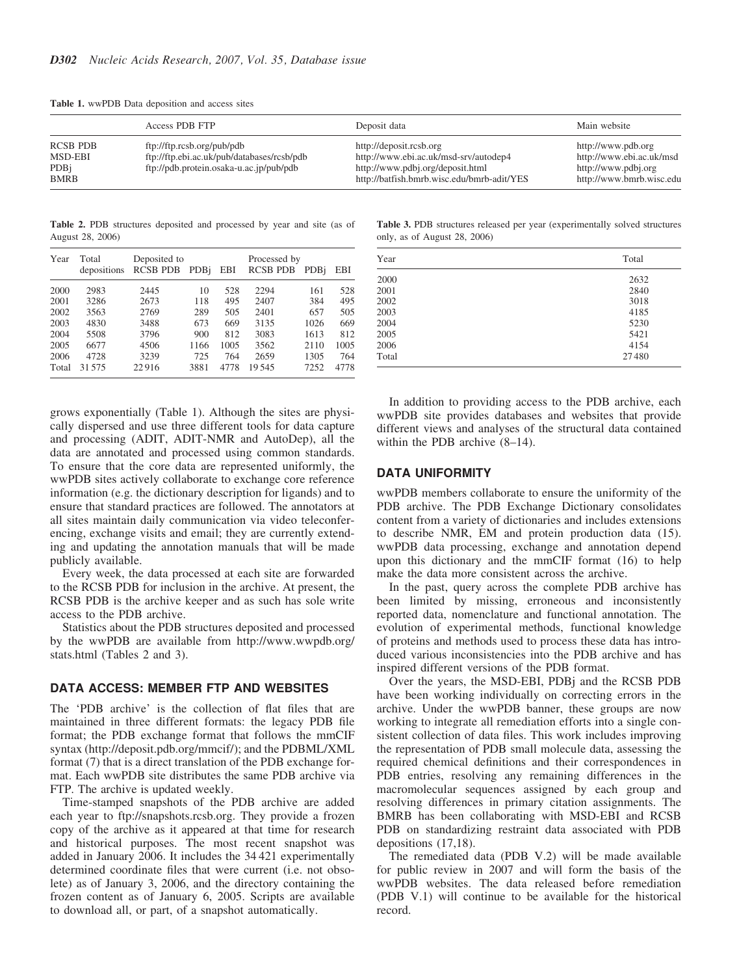|                 | Access PDB FTP                             | Deposit data                               | Main website             |
|-----------------|--------------------------------------------|--------------------------------------------|--------------------------|
| <b>RCSB PDB</b> | ftp://ftp.rcsb.org/pub/pdb                 | http://deposit.rcsb.org                    | http://www.pdb.org       |
| MSD-EBI         | ftp://ftp.ebi.ac.uk/pub/databases/rcsb/pdb | http://www.ebi.ac.uk/msd-srv/autodep4      | http://www.ebi.ac.uk/msd |
| PDBi            | ftp://pdb.protein.osaka-u.ac.jp/pub/pdb    | http://www.pdbj.org/deposit.html           | http://www.pdbj.org      |
| <b>BMRB</b>     |                                            | http://batfish.bmrb.wisc.edu/bmrb-adit/YES | http://www.bmrb.wisc.edu |

Table 1. wwPDB Data deposition and access sites

Table 2. PDB structures deposited and processed by year and site (as of August 28, 2006)

| Year  | Total<br>depositions | Deposited to<br><b>RCSB PDB</b> | PDBi | EBI  | Processed by<br><b>RCSB PDB</b> | PDBi | EBI  |
|-------|----------------------|---------------------------------|------|------|---------------------------------|------|------|
| 2000  | 2983                 | 2445                            | 10   | 528  | 2294                            | 161  | 528  |
| 2001  | 3286                 | 2673                            | 118  | 495  | 2407                            | 384  | 495  |
| 2002  | 3563                 | 2769                            | 289  | 505  | 2401                            | 657  | 505  |
| 2003  | 4830                 | 3488                            | 673  | 669  | 3135                            | 1026 | 669  |
| 2004  | 5508                 | 3796                            | 900  | 812  | 3083                            | 1613 | 812  |
| 2005  | 6677                 | 4506                            | 1166 | 1005 | 3562                            | 2110 | 1005 |
| 2006  | 4728                 | 3239                            | 725  | 764  | 2659                            | 1305 | 764  |
| Total | 31575                | 22916                           | 3881 | 4778 | 19545                           | 7252 | 4778 |

grows exponentially (Table 1). Although the sites are physically dispersed and use three different tools for data capture and processing (ADIT, ADIT-NMR and AutoDep), all the data are annotated and processed using common standards. To ensure that the core data are represented uniformly, the wwPDB sites actively collaborate to exchange core reference information (e.g. the dictionary description for ligands) and to ensure that standard practices are followed. The annotators at all sites maintain daily communication via video teleconferencing, exchange visits and email; they are currently extending and updating the annotation manuals that will be made publicly available.

Every week, the data processed at each site are forwarded to the RCSB PDB for inclusion in the archive. At present, the RCSB PDB is the archive keeper and as such has sole write access to the PDB archive.

Statistics about the PDB structures deposited and processed by the wwPDB are available from<http://www.wwpdb.org/> stats.html (Tables 2 and 3).

#### DATA ACCESS: MEMBER FTP AND WEBSITES

The 'PDB archive' is the collection of flat files that are maintained in three different formats: the legacy PDB file format; the PDB exchange format that follows the mmCIF syntax [\(http://deposit.pdb.org/mmcif](http://deposit.pdb.org/mmcif/)/); and the PDBML/XML format (7) that is a direct translation of the PDB exchange format. Each wwPDB site distributes the same PDB archive via FTP. The archive is updated weekly.

Time-stamped snapshots of the PDB archive are added each year to [ftp://snapshots.rcsb.org.](ftp://snapshots.rcsb.org) They provide a frozen copy of the archive as it appeared at that time for research and historical purposes. The most recent snapshot was added in January 2006. It includes the 34 421 experimentally determined coordinate files that were current (i.e. not obsolete) as of January 3, 2006, and the directory containing the frozen content as of January 6, 2005. Scripts are available to download all, or part, of a snapshot automatically.

Table 3. PDB structures released per year (experimentally solved structures only, as of August 28, 2006)

| Year  | Total |  |  |
|-------|-------|--|--|
| 2000  | 2632  |  |  |
| 2001  | 2840  |  |  |
| 2002  | 3018  |  |  |
| 2003  | 4185  |  |  |
| 2004  | 5230  |  |  |
| 2005  | 5421  |  |  |
| 2006  | 4154  |  |  |
| Total | 27480 |  |  |
|       |       |  |  |

In addition to providing access to the PDB archive, each wwPDB site provides databases and websites that provide different views and analyses of the structural data contained within the PDB archive (8–14).

#### DATA UNIFORMITY

wwPDB members collaborate to ensure the uniformity of the PDB archive. The PDB Exchange Dictionary consolidates content from a variety of dictionaries and includes extensions to describe NMR, EM and protein production data (15). wwPDB data processing, exchange and annotation depend upon this dictionary and the mmCIF format (16) to help make the data more consistent across the archive.

In the past, query across the complete PDB archive has been limited by missing, erroneous and inconsistently reported data, nomenclature and functional annotation. The evolution of experimental methods, functional knowledge of proteins and methods used to process these data has introduced various inconsistencies into the PDB archive and has inspired different versions of the PDB format.

Over the years, the MSD-EBI, PDBj and the RCSB PDB have been working individually on correcting errors in the archive. Under the wwPDB banner, these groups are now working to integrate all remediation efforts into a single consistent collection of data files. This work includes improving the representation of PDB small molecule data, assessing the required chemical definitions and their correspondences in PDB entries, resolving any remaining differences in the macromolecular sequences assigned by each group and resolving differences in primary citation assignments. The BMRB has been collaborating with MSD-EBI and RCSB PDB on standardizing restraint data associated with PDB depositions (17,18).

The remediated data (PDB V.2) will be made available for public review in 2007 and will form the basis of the wwPDB websites. The data released before remediation (PDB V.1) will continue to be available for the historical record.